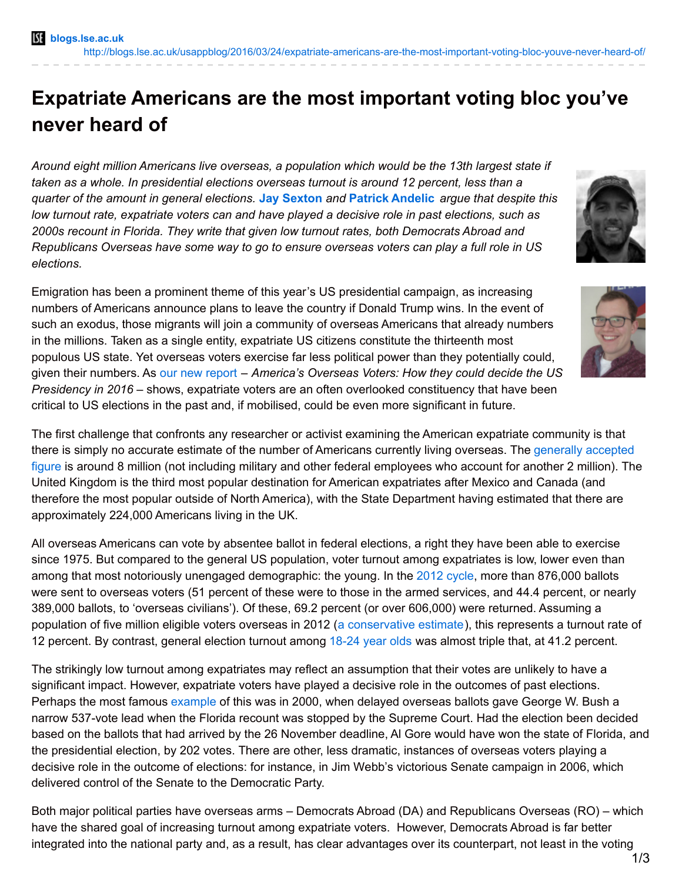## **Expatriate Americans are the most important voting bloc you've never heard of**

*Around eight million Americans live overseas, a population which would be the 13th largest state if taken as a whole. In presidential elections overseas turnout is around 12 percent, less than a quarter of the amount in general elections.* **Jay [Sexton](http://wp.me/p3I2YF-50P#Author)** *and* **Patrick [Andelic](http://wp.me/p3I2YF-50P#Author)** *argue that despite this low turnout rate, expatriate voters can and have played a decisive role in past elections, such as 2000s recount in Florida. They write that given low turnout rates, both Democrats Abroad and Republicans Overseas have some way to go to ensure overseas voters can play a full role in US elections.*

Emigration has been a prominent theme of this year's US presidential campaign, as increasing numbers of Americans announce plans to leave the country if Donald Trump wins. In the event of such an exodus, those migrants will join a community of overseas Americans that already numbers in the millions. Taken as a single entity, expatriate US citizens constitute the thirteenth most populous US state. Yet overseas voters exercise far less political power than they potentially could, given their numbers. As our new [report](http://www.rai.ox.ac.uk/election2016) – *America's Overseas Voters: How they could decide the US Presidency in 2016* – shows, expatriate voters are an often overlooked constituency that have been critical to US elections in the past and, if mobilised, could be even more significant in future.

The first challenge that confronts any researcher or activist examining the American expatriate community is that there is simply no accurate estimate of the number of Americans currently living overseas. The generally accepted figure is around 8 million (not including military and other federal [employees](https://www.aaro.org/who-we-are/8m-americans-abroad) who account for another 2 million). The United Kingdom is the third most popular destination for American expatriates after Mexico and Canada (and therefore the most popular outside of North America), with the State Department having estimated that there are approximately 224,000 Americans living in the UK.

All overseas Americans can vote by absentee ballot in federal elections, a right they have been able to exercise since 1975. But compared to the general US population, voter turnout among expatriates is low, lower even than among that most notoriously unengaged demographic: the young. In the 2012 [cycle](http://www.eac.gov/assets/1/Documents/508compliant_Main_91_p.pdf), more than 876,000 ballots were sent to overseas voters (51 percent of these were to those in the armed services, and 44.4 percent, or nearly 389,000 ballots, to 'overseas civilians'). Of these, 69.2 percent (or over 606,000) were returned. Assuming a population of five million eligible voters overseas in 2012 (a [conservative](https://www.overseasvotefoundation.org/files/OVF_NL_July-Aug2010.pdf) estimate), this represents a turnout rate of 12 percent. By contrast, general election turnout among [18-24](http://www.pewresearch.org/fact-tank/2013/05/08/six-take-aways-from-the-census-bureaus-voting-report/) year olds was almost triple that, at 41.2 percent.

The strikingly low turnout among expatriates may reflect an assumption that their votes are unlikely to have a significant impact. However, expatriate voters have played a decisive role in the outcomes of past elections. Perhaps the most famous [example](http://www.nytimes.com/2001/07/15/us/examining-the-vote-how-bush-took-florida-mining-the-overseas-absentee-vote.html?pagewanted=all) of this was in 2000, when delayed overseas ballots gave George W. Bush a narrow 537-vote lead when the Florida recount was stopped by the Supreme Court. Had the election been decided based on the ballots that had arrived by the 26 November deadline, Al Gore would have won the state of Florida, and the presidential election, by 202 votes. There are other, less dramatic, instances of overseas voters playing a decisive role in the outcome of elections: for instance, in Jim Webb's victorious Senate campaign in 2006, which delivered control of the Senate to the Democratic Party.

Both major political parties have overseas arms – Democrats Abroad (DA) and Republicans Overseas (RO) – which have the shared goal of increasing turnout among expatriate voters. However, Democrats Abroad is far better integrated into the national party and, as a result, has clear advantages over its counterpart, not least in the voting



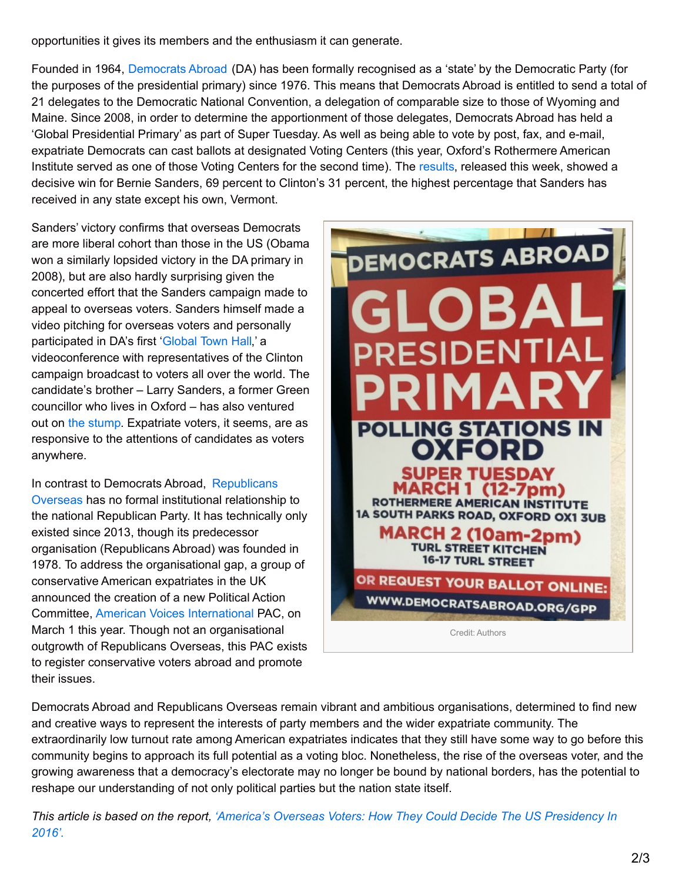opportunities it gives its members and the enthusiasm it can generate.

Founded in 1964, [Democrats](http://www.democratsabroad.org/uk) Abroad (DA) has been formally recognised as a 'state' by the Democratic Party (for the purposes of the presidential primary) since 1976. This means that Democrats Abroad is entitled to send a total of 21 delegates to the Democratic National Convention, a delegation of comparable size to those of Wyoming and Maine. Since 2008, in order to determine the apportionment of those delegates, Democrats Abroad has held a 'Global Presidential Primary' as part of Super Tuesday. As well as being able to vote by post, fax, and e-mail, expatriate Democrats can cast ballots at designated Voting Centers (this year, Oxford's Rothermere American Institute served as one of those Voting Centers for the second time). The [results](http://www.democratsabroad.org/global_presidential_primary_results), released this week, showed a decisive win for Bernie Sanders, 69 percent to Clinton's 31 percent, the highest percentage that Sanders has received in any state except his own, Vermont.

Sanders' victory confirms that overseas Democrats are more liberal cohort than those in the US (Obama won a similarly lopsided victory in the DA primary in 2008), but are also hardly surprising given the concerted effort that the Sanders campaign made to appeal to overseas voters. Sanders himself made a video pitching for overseas voters and personally participated in DA's first ['Global](http://www.democratsabroad.org/global_event_not_to_be_missed) Town Hall,' a videoconference with representatives of the Clinton campaign broadcast to voters all over the world. The candidate's brother – Larry Sanders, a former Green councillor who lives in Oxford – has also ventured out on the [stump](http://www.edinburghnews.scotsman.com/news/my-brother-bernie-s-going-to-be-the-next-us-president-1-4039087). Expatriate voters, it seems, are as responsive to the attentions of candidates as voters anywhere.

In contrast to Democrats Abroad, [Republicans](http://www.republicansoverseas-uk.com/) Overseas has no formal institutional relationship to the national Republican Party. It has technically only existed since 2013, though its predecessor organisation (Republicans Abroad) was founded in 1978. To address the organisational gap, a group of conservative American expatriates in the UK announced the creation of a new Political Action Committee, American Voices [International](http://avipac.org/) PAC, on March 1 this year. Though not an organisational outgrowth of Republicans Overseas, this PAC exists to register conservative voters abroad and promote their issues.



Democrats Abroad and Republicans Overseas remain vibrant and ambitious organisations, determined to find new and creative ways to represent the interests of party members and the wider expatriate community. The extraordinarily low turnout rate among American expatriates indicates that they still have some way to go before this community begins to approach its full potential as a voting bloc. Nonetheless, the rise of the overseas voter, and the growing awareness that a democracy's electorate may no longer be bound by national borders, has the potential to reshape our understanding of not only political parties but the nation state itself.

This article is based on the report, 'America's Overseas Voters: How They Could Decide The US [Presidency](http://www.rai.ox.ac.uk/news/americas-overseas-voters-how-they-could-decide-us-presidency-2016) In *2016'.*